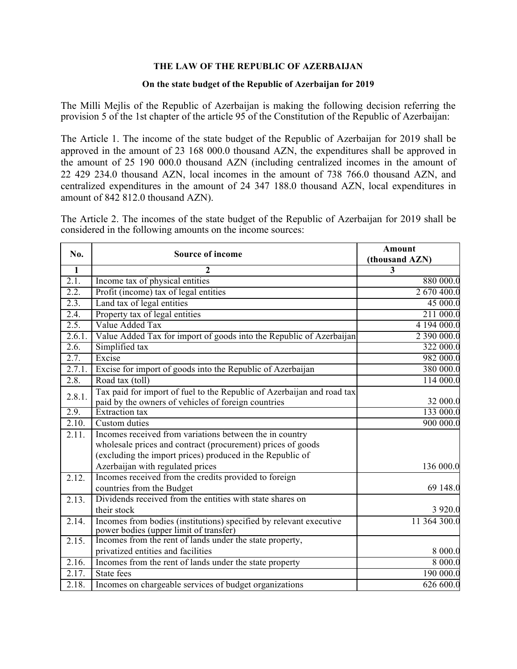## **THE LAW OF THE REPUBLIC OF AZERBAIJAN**

## **On the state budget of the Republic of Azerbaijan for 2019**

The Milli Mejlis of the Republic of Azerbaijan is making the following decision referring the provision 5 of the 1st chapter of the article 95 of the Constitution of the Republic of Azerbaijan:

The Article 1. The income of the state budget of the Republic of Azerbaijan for 2019 shall be approved in the amount of 23 168 000.0 thousand AZN, the expenditures shall be approved in the amount of 25 190 000.0 thousand AZN (including centralized incomes in the amount of 22 429 234.0 thousand AZN, local incomes in the amount of 738 766.0 thousand AZN, and centralized expenditures in the amount of 24 347 188.0 thousand AZN, local expenditures in amount of 842 812.0 thousand AZN).

The Article 2. The incomes of the state budget of the Republic of Azerbaijan for 2019 shall be considered in the following amounts on the income sources:

| No.                | <b>Source of income</b>                                                                                                | Amount<br>(thousand AZN) |  |  |
|--------------------|------------------------------------------------------------------------------------------------------------------------|--------------------------|--|--|
| $\mathbf{1}$       |                                                                                                                        | $\overline{3}$           |  |  |
| 2.1.               | Income tax of physical entities                                                                                        | 880 000.0                |  |  |
| $\overline{2.2}$ . | Profit (income) tax of legal entities                                                                                  | 2 670 400.0              |  |  |
| 2.3.               | Land tax of legal entities                                                                                             | 45 000.0                 |  |  |
| 2.4.               | Property tax of legal entities                                                                                         | 211000.0                 |  |  |
| 2.5.               | Value Added Tax                                                                                                        | 4 194 000.0              |  |  |
| 2.6.1              | Value Added Tax for import of goods into the Republic of Azerbaijan                                                    | 2 390 000.0              |  |  |
| 2.6.               | Simplified tax                                                                                                         | 322 000.0                |  |  |
| 2.7.               | Excise                                                                                                                 | 982 000.0                |  |  |
| 2.7.1.             | Excise for import of goods into the Republic of Azerbaijan                                                             | 380 000.0                |  |  |
| 2.8.               | Road tax (toll)                                                                                                        | 114 000.0                |  |  |
| 2.8.1.             | Tax paid for import of fuel to the Republic of Azerbaijan and road tax                                                 | 32 000.0                 |  |  |
| 2.9.               | paid by the owners of vehicles of foreign countries<br><b>Extraction</b> tax                                           | 133 000.0                |  |  |
| 2.10.              | Custom duties                                                                                                          | 900 000.0                |  |  |
|                    |                                                                                                                        |                          |  |  |
| 2.11.              | Incomes received from variations between the in country<br>wholesale prices and contract (procurement) prices of goods |                          |  |  |
|                    | (excluding the import prices) produced in the Republic of                                                              |                          |  |  |
|                    | Azerbaijan with regulated prices                                                                                       | 136 000.0                |  |  |
| 2.12.              | Incomes received from the credits provided to foreign                                                                  |                          |  |  |
|                    | countries from the Budget                                                                                              | 69 148.0                 |  |  |
| 2.13.              | Dividends received from the entities with state shares on                                                              |                          |  |  |
|                    | their stock                                                                                                            | 3 9 2 0 .0               |  |  |
| 2.14.              | Incomes from bodies (institutions) specified by relevant executive<br>power bodies (upper limit of transfer)           | 11 364 300.0             |  |  |
| 2.15.              | Incomes from the rent of lands under the state property,                                                               |                          |  |  |
|                    | privatized entities and facilities                                                                                     | 8 000.0                  |  |  |
| 2.16.              | Incomes from the rent of lands under the state property                                                                | 8 000.0                  |  |  |
| 2.17.              | State fees                                                                                                             | 190 000.0                |  |  |
| 2.18.              | Incomes on chargeable services of budget organizations                                                                 | 626 600.0                |  |  |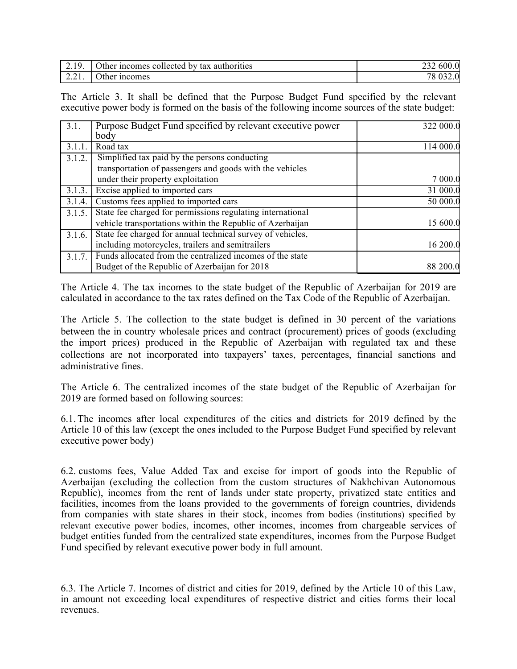| $\sqrt{210}$         | . 1 Other incomes collected by tax authorities | 232 600.0 |
|----------------------|------------------------------------------------|-----------|
| $\sqrt{21}$<br>2.21. | Other incomes                                  | 78 032.0  |

The Article 3. It shall be defined that the Purpose Budget Fund specified by the relevant executive power body is formed on the basis of the following income sources of the state budget:

| 3.1.   | Purpose Budget Fund specified by relevant executive power  | 322 000.0 |
|--------|------------------------------------------------------------|-----------|
|        | body                                                       |           |
| 311    | Road tax                                                   | 114 000.0 |
| 3.1.2. | Simplified tax paid by the persons conducting              |           |
|        | transportation of passengers and goods with the vehicles   |           |
|        | under their property exploitation                          | 7 000.0   |
| 3.1.3. | Excise applied to imported cars                            | 31 000.0  |
| 3.1.4. | Customs fees applied to imported cars                      | 50 000.0  |
| 3.1.5. | State fee charged for permissions regulating international |           |
|        | vehicle transportations within the Republic of Azerbaijan  | 15 600.0  |
| 3.1.6. | State fee charged for annual technical survey of vehicles, |           |
|        | including motorcycles, trailers and semitrailers           | 16 200.0  |
| 3.1.7. | Funds allocated from the centralized incomes of the state  |           |
|        | Budget of the Republic of Azerbaijan for 2018              | 88 200.0  |

The Article 4. The tax incomes to the state budget of the Republic of Azerbaijan for 2019 are calculated in accordance to the tax rates defined on the Tax Code of the Republic of Azerbaijan.

The Article 5. The collection to the state budget is defined in 30 percent of the variations between the in country wholesale prices and contract (procurement) prices of goods (excluding the import prices) produced in the Republic of Azerbaijan with regulated tax and these collections are not incorporated into taxpayers' taxes, percentages, financial sanctions and administrative fines.

The Article 6. The centralized incomes of the state budget of the Republic of Azerbaijan for 2019 are formed based on following sources:

6.1. The incomes after local expenditures of the cities and districts for 2019 defined by the Article 10 of this law (except the ones included to the Purpose Budget Fund specified by relevant executive power body)

6.2. customs fees, Value Added Tax and excise for import of goods into the Republic of Azerbaijan (excluding the collection from the custom structures of Nakhchivan Autonomous Republic), incomes from the rent of lands under state property, privatized state entities and facilities, incomes from the loans provided to the governments of foreign countries, dividends from companies with state shares in their stock, incomes from bodies (institutions) specified by relevant executive power bodies, incomes, other incomes, incomes from chargeable services of budget entities funded from the centralized state expenditures, incomes from the Purpose Budget Fund specified by relevant executive power body in full amount.

6.3. The Article 7. Incomes of district and cities for 2019, defined by the Article 10 of this Law, in amount not exceeding local expenditures of respective district and cities forms their local revenues.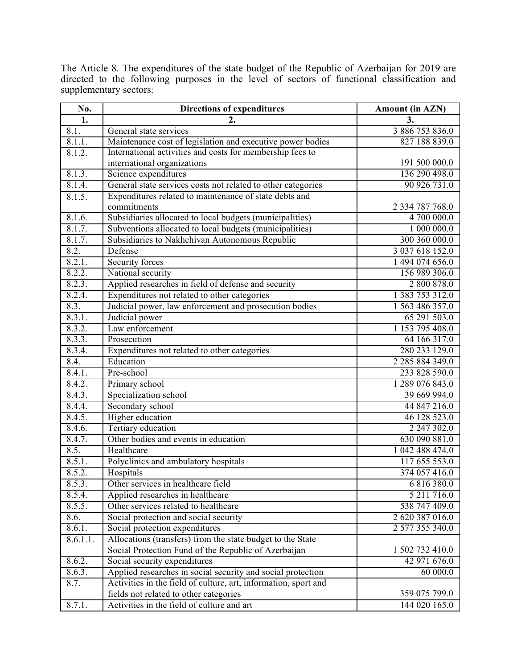The Article 8. The expenditures of the state budget of the Republic of Azerbaijan for 2019 are directed to the following purposes in the level of sectors of functional classification and supplementary sectors:

| No.              | <b>Directions of expenditures</b>                               | <b>Amount (in AZN)</b>  |
|------------------|-----------------------------------------------------------------|-------------------------|
| $\overline{1}$ . | 2.                                                              | 3.                      |
| 8.1.             | General state services                                          | 3 886 753 836.0         |
| 8.1.1.           | Maintenance cost of legislation and executive power bodies      | 827 188 839.0           |
| 8.1.2.           | International activities and costs for membership fees to       |                         |
|                  | international organizations                                     | 191 500 000.0           |
| 8.1.3.           | Science expenditures                                            | 136 290 498.0           |
| 8.1.4.           | General state services costs not related to other categories    | 90 926 731.0            |
| 8.1.5.           | Expenditures related to maintenance of state debts and          |                         |
|                  | commitments                                                     | 2 334 787 768.0         |
| 8.1.6.           | Subsidiaries allocated to local budgets (municipalities)        | 4 700 000.0             |
| 8.1.7.           | Subventions allocated to local budgets (municipalities)         | 1 000 000.0             |
| 8.1.7.           | Subsidiaries to Nakhchivan Autonomous Republic                  | 300 360 000.0           |
| 8.2.             | Defense                                                         | 3 037 618 152.0         |
| 8.2.1.           | Security forces                                                 | 1 494 074 656.0         |
| 8.2.2.           | National security                                               | 156 989 306.0           |
| 8.2.3.           | Applied researches in field of defense and security             | 2 800 878.0             |
| 8.2.4.           | Expenditures not related to other categories                    | 1 383 753 312.0         |
| 8.3.             | Judicial power, law enforcement and prosecution bodies          | 1 563 486 357.0         |
| 8.3.1.           | Judicial power                                                  | 65 291 503.0            |
| 8.3.2.           | Law enforcement                                                 | 1 153 795 408.0         |
| 8.3.3.           | Prosecution                                                     | 64 166 317.0            |
| 8.3.4.           | Expenditures not related to other categories                    | 280 233 129.0           |
| 8.4.             | Education                                                       | 2 2 8 3 8 8 4 3 4 9 . 0 |
| 8.4.1.           | Pre-school                                                      | 233 828 590.0           |
| 8.4.2.           | Primary school                                                  | 1 289 076 843.0         |
| 8.4.3.           | Specialization school                                           | 39 669 994.0            |
| 8.4.4.           | Secondary school                                                | 44 847 216.0            |
| 8.4.5.           | <b>Higher</b> education                                         | 46 128 523.0            |
| 8.4.6.           | Tertiary education                                              | 2 247 302.0             |
| 8.4.7.           | Other bodies and events in education                            | 630 090 881.0           |
| 8.5.             | Healthcare                                                      | 1 042 488 474.0         |
| 8.5.1.           | Polyclinics and ambulatory hospitals                            | 117 655 553.0           |
| 8.5.2.           | Hospitals                                                       | 374 057 416.0           |
| 8.5.3.           | Other services in healthcare field                              | 6 816 380.0             |
| 8.5.4.           | Applied researches in healthcare                                | 5 211 716.0             |
| 8.5.5.           | Other services related to healthcare                            | 538 747 409.0           |
| 8.6.             | Social protection and social security                           | 2 620 387 016.0         |
| 8.6.1.           | Social protection expenditures                                  | 2 577 355 340.0         |
| 8.6.1.1.         | Allocations (transfers) from the state budget to the State      |                         |
|                  | Social Protection Fund of the Republic of Azerbaijan            | 1 502 732 410.0         |
| 8.6.2.           | Social security expenditures                                    | 42 971 676.0            |
| 8.6.3.           | Applied researches in social security and social protection     | 60 000.0                |
| 8.7.             | Activities in the field of culture, art, information, sport and |                         |
|                  | fields not related to other categories                          | 359 075 799.0           |
| 8.7.1.           | Activities in the field of culture and art                      | 144 020 165.0           |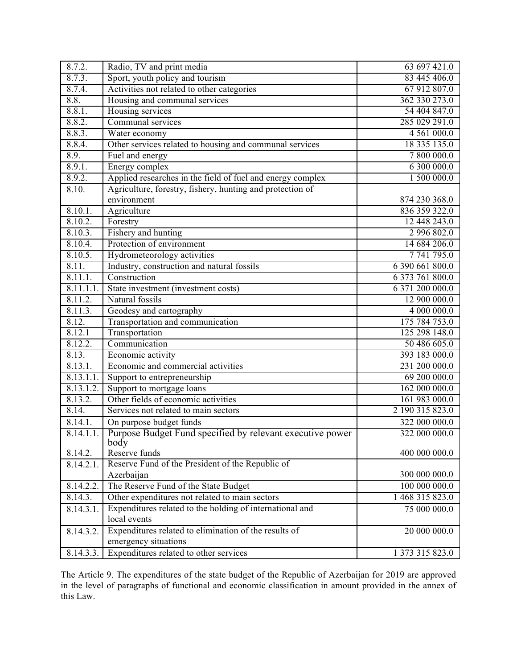| 8.7.2.    | Radio, TV and print media                                         | 63 697 421.0     |
|-----------|-------------------------------------------------------------------|------------------|
| 8.7.3.    | Sport, youth policy and tourism                                   | 83 445 406.0     |
| 8.7.4.    | Activities not related to other categories                        | 67 912 807.0     |
| 8.8.      | Housing and communal services                                     | 362 330 273.0    |
| 8.8.1.    | Housing services                                                  | 54 404 847.0     |
| 8.8.2.    | Communal services                                                 | 285 029 291.0    |
| 8.8.3.    | Water economy                                                     | 4 5 6 1 0 0 0 .0 |
| 8.8.4.    | Other services related to housing and communal services           | 18 335 135.0     |
| 8.9.      | Fuel and energy                                                   | 7 800 000.0      |
| 8.9.1.    | Energy complex                                                    | 6 300 000.0      |
| 8.9.2.    | Applied researches in the field of fuel and energy complex        | 1 500 000.0      |
| 8.10.     | Agriculture, forestry, fishery, hunting and protection of         |                  |
|           | environment                                                       | 874 230 368.0    |
| 8.10.1.   | Agriculture                                                       | 836 359 322.0    |
| 8.10.2.   | Forestry                                                          | 12 448 243.0     |
| 8.10.3.   | Fishery and hunting                                               | 2 996 802.0      |
| 8.10.4.   | Protection of environment                                         | 14 684 206.0     |
| 8.10.5.   | Hydrometeorology activities                                       | 7 741 795.0      |
| 8.11.     | Industry, construction and natural fossils                        | 6 390 661 800.0  |
| 8.11.1.   | Construction                                                      | 6 373 761 800.0  |
| 8.11.1.1. | State investment (investment costs)                               | 6 371 200 000.0  |
| 8.11.2.   | Natural fossils                                                   | 12 900 000.0     |
| 8.11.3.   | Geodesy and cartography                                           | 40000000         |
| 8.12.     | Transportation and communication                                  | 175 784 753.0    |
| 8.12.1    | Transportation                                                    | 125 298 148.0    |
| 8.12.2.   | Communication                                                     | 50 486 605.0     |
| 8.13.     | Economic activity                                                 | 393 183 000.0    |
| 8.13.1.   | Economic and commercial activities                                | 231 200 000.0    |
| 8.13.1.1. | Support to entrepreneurship                                       | 69 200 000.0     |
| 8.13.1.2. | Support to mortgage loans                                         | 162 000 000.0    |
| 8.13.2.   | Other fields of economic activities                               | 161 983 000.0    |
| 8.14.     | Services not related to main sectors                              | 2 190 315 823.0  |
| 8.14.1.   | On purpose budget funds                                           | 322 000 000.0    |
| 8.14.1.1. | Purpose Budget Fund specified by relevant executive power<br>body | 322 000 000.0    |
| 8.14.2.   | Reserve funds                                                     | 400 000 000.0    |
| 8.14.2.1. | Reserve Fund of the President of the Republic of                  |                  |
|           | Azerbaijan                                                        | 300 000 000.0    |
| 8.14.2.2. | The Reserve Fund of the State Budget                              | 100 000 000.0    |
| 8.14.3.   | Other expenditures not related to main sectors                    | 1468 315 823.0   |
| 8.14.3.1. | Expenditures related to the holding of international and          | 75 000 000.0     |
|           | local events                                                      |                  |
| 8.14.3.2. | Expenditures related to elimination of the results of             | 20 000 000.0     |
|           | emergency situations                                              |                  |
| 8.14.3.3. | Expenditures related to other services                            | 1 373 315 823.0  |

The Article 9. The expenditures of the state budget of the Republic of Azerbaijan for 2019 are approved in the level of paragraphs of functional and economic classification in amount provided in the annex of this Law.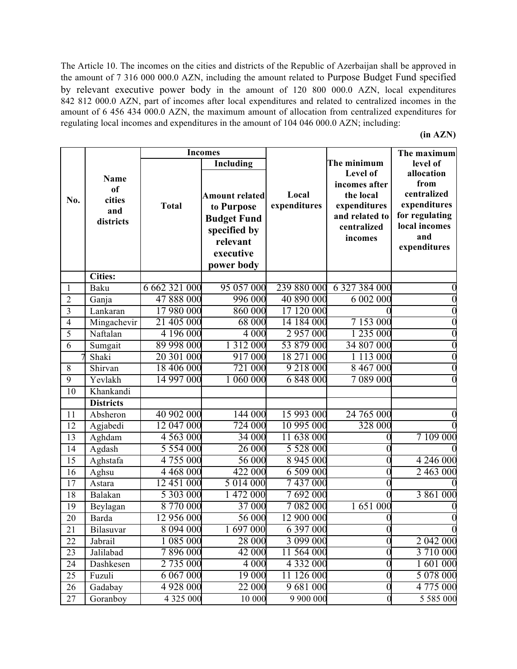The Article 10. The incomes on the cities and districts of the Republic of Azerbaijan shall be approved in the amount of 7 316 000 000.0 AZN, including the amount related to Purpose Budget Fund specified by relevant executive power body in the amount of 120 800 000.0 AZN, local expenditures 842 812 000.0 AZN, part of incomes after local expenditures and related to centralized incomes in the amount of 6 456 434 000.0 AZN, the maximum amount of allocation from centralized expenditures for regulating local incomes and expenditures in the amount of 104 046 000.0 AZN; including:

| H |  |
|---|--|
|---|--|

|                 |                                                 |               | <b>Incomes</b>                                                                                                  |                       |                                                                                                                   | The maximum                                                                                                             |
|-----------------|-------------------------------------------------|---------------|-----------------------------------------------------------------------------------------------------------------|-----------------------|-------------------------------------------------------------------------------------------------------------------|-------------------------------------------------------------------------------------------------------------------------|
| No.             | <b>Name</b><br>of<br>cities<br>and<br>districts | <b>Total</b>  | Including<br><b>Amount related</b><br>to Purpose<br><b>Budget Fund</b><br>specified by<br>relevant<br>executive | Local<br>expenditures | The minimum<br>Level of<br>incomes after<br>the local<br>expenditures<br>and related to<br>centralized<br>incomes | level of<br>allocation<br>from<br>centralized<br>expenditures<br>for regulating<br>local incomes<br>and<br>expenditures |
|                 |                                                 |               | power body                                                                                                      |                       |                                                                                                                   |                                                                                                                         |
|                 | <b>Cities:</b>                                  |               |                                                                                                                 |                       |                                                                                                                   |                                                                                                                         |
| 1               | Baku                                            | 6 662 321 000 | 95 057 000                                                                                                      | 239 880 000           | 6 327 384 000                                                                                                     |                                                                                                                         |
| $\overline{2}$  | Ganja                                           | 47 888 000    | 996 000                                                                                                         | 40 890 000            | 6 002 000                                                                                                         |                                                                                                                         |
| $\overline{3}$  | Lankaran                                        | 17 980 000    | 860 000                                                                                                         | 17 120 000            |                                                                                                                   |                                                                                                                         |
| $\overline{4}$  | Mingachevir                                     | 21 405 000    | 68 000                                                                                                          | 14 184 000            | 7 153 000                                                                                                         |                                                                                                                         |
| $\overline{5}$  | Naftalan                                        | 4 196 000     | 4 0 0 0                                                                                                         | 2 957 000             | 1 235 000                                                                                                         |                                                                                                                         |
| $\overline{6}$  | Sumgait                                         | 89 998 000    | 1 3 1 2 0 0 0                                                                                                   | 53 879 000            | 34 807 000                                                                                                        |                                                                                                                         |
|                 | Shaki                                           | 20 301 000    | 917 000                                                                                                         | 18 271 000            | 1 1 1 3 0 0 0                                                                                                     |                                                                                                                         |
| 8               | Shirvan                                         | 18 406 000    | 721 000                                                                                                         | 9 218 000             | 8 467 000                                                                                                         |                                                                                                                         |
| 9               | Yevlakh                                         | 14 997 000    | 1 060 000                                                                                                       | 6 848 000             | 7 089 000                                                                                                         |                                                                                                                         |
| 10              | Khankandi                                       |               |                                                                                                                 |                       |                                                                                                                   |                                                                                                                         |
|                 | <b>Districts</b>                                |               |                                                                                                                 |                       |                                                                                                                   |                                                                                                                         |
| 11              | Absheron                                        | 40 902 000    | 144 000                                                                                                         | 15 993 000            | 24 765 000                                                                                                        |                                                                                                                         |
| 12              | Agjabedi                                        | 12 047 000    | 724 000                                                                                                         | 10 995 000            | 328 000                                                                                                           |                                                                                                                         |
| 13              | Aghdam                                          | 4 5 63 0 0 0  | 34 000                                                                                                          | 11 638 000            |                                                                                                                   | 7 109 000                                                                                                               |
| 14              | Agdash                                          | 5 5 5 4 0 0 0 | 26 000                                                                                                          | 5 5 28 0 0 0          |                                                                                                                   |                                                                                                                         |
| 15              | Aghstafa                                        | 4 755 000     | 56 000                                                                                                          | 8 9 4 5 0 0 0         |                                                                                                                   | 4 246 000                                                                                                               |
| 16              | Aghsu                                           | 4 4 68 0 00   | 422 000                                                                                                         | 6 509 000             |                                                                                                                   | 2 463 000                                                                                                               |
| 17              | Astara                                          | 12 451 000    | 5 014 000                                                                                                       | 7437000               |                                                                                                                   |                                                                                                                         |
| 18              | Balakan                                         | 5 303 000     | 1 472 000                                                                                                       | 7692000               |                                                                                                                   | 3 861 000                                                                                                               |
| 19              | Beylagan                                        | 8770000       | 37 000                                                                                                          | 7 082 000             | 1651000                                                                                                           |                                                                                                                         |
| 20              | Barda                                           | 12 956 000    | 56 000                                                                                                          | 12 900 000            |                                                                                                                   |                                                                                                                         |
| 21              | Bilasuvar                                       | 8 094 000     | 1 697 000                                                                                                       | 6 397 000             | 0                                                                                                                 |                                                                                                                         |
| 22              | Jabrail                                         | 1 085 000     | 28 000                                                                                                          | 3 099 000             | 0                                                                                                                 | 2 042 000                                                                                                               |
| 23              | Jalilabad                                       | 7896000       | 42 000                                                                                                          | 11 564 000            | 0                                                                                                                 | 3 710 000                                                                                                               |
| 24              | Dashkesen                                       | 2 735 000     | 4 0 0 0                                                                                                         | 4 3 3 2 0 0 0         |                                                                                                                   | 1 601 000                                                                                                               |
| 25              | Fuzuli                                          | $6\,067\,000$ | 19 000                                                                                                          | 11 126 000            | $\left($                                                                                                          | 5 078 000                                                                                                               |
| 26              | Gadabay                                         | 4 9 28 0 00   | 22 000                                                                                                          | 9681000               | 0                                                                                                                 | 4 775 000                                                                                                               |
| $\overline{27}$ | Goranboy                                        | 4 3 2 5 0 0 0 | 10 000                                                                                                          | 9 900 000             | $\overline{0}$                                                                                                    | 5 5 8 5 0 0 0                                                                                                           |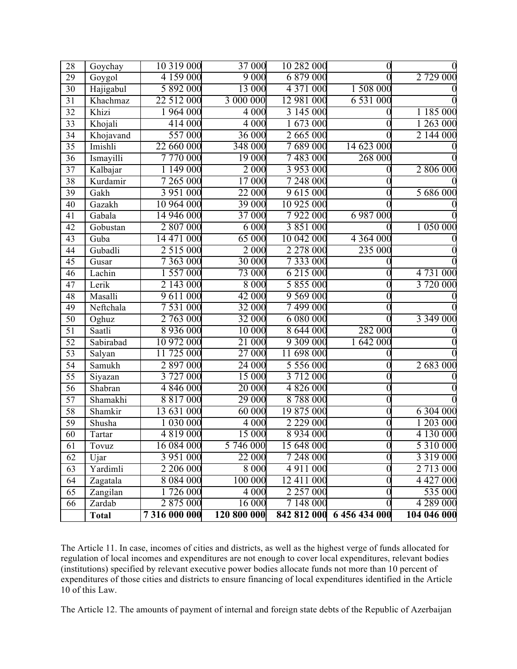| 28              | Goychay      | 10 319 000    | 37 000      | 10 282 000    | $\Omega$                  |               |
|-----------------|--------------|---------------|-------------|---------------|---------------------------|---------------|
| 29              | Goygol       | 4 159 000     | 9 0 0 0     | 6 879 000     |                           | 2 729 000     |
| $\overline{30}$ | Hajigabul    | 5 892 000     | 13 000      | 4 371 000     | 1 508 000                 |               |
| 31              | Khachmaz     | 22 512 000    | 3 000 000   | 12 981 000    | 6 5 3 1 0 0 0             |               |
| 32              | Khizi        | 1 964 000     | 4 0 0 0     | 3 145 000     |                           | 1 185 000     |
| 33              | Khojali      | 414 000       | 4 0 0 0     | 1 673 000     |                           | 1 263 000     |
| 34              | Khojavand    | 557 000       | 36 000      | 2 665 000     |                           | 2 144 000     |
| 35              | Imishli      | 22 660 000    | 348 000     | 7689000       | 14 623 000                |               |
| 36              | Ismayilli    | 7770000       | 19 000      | 7483000       | 268 000                   |               |
| $\overline{37}$ | Kalbajar     | 1 149 000     | 2 0 0 0     | 3 953 000     |                           | 2 806 000     |
| 38              | Kurdamir     | 7 265 000     | 17 000      | 7 248 000     |                           |               |
| 39              | Gakh         | 3 951 000     | 22 000      | 9 615 000     |                           | 5 686 000     |
| 40              | Gazakh       | 10 964 000    | 39 000      | 10 925 000    |                           |               |
| $\overline{41}$ | Gabala       | 14 946 000    | 37 000      | 7922000       | 6 987 000                 |               |
| 42              | Gobustan     | 2 807 000     | 6 0 0 0     | 3 851 000     |                           | 1 050 000     |
| 43              | Guba         | 14 471 000    | 65 000      | 10 042 000    | 4 3 6 4 0 0 0             |               |
| 44              | Gubadli      | 2 5 1 5 0 0 0 | 2 0 0 0     | 2 278 000     | 235 000                   |               |
| 45              | Gusar        | 7 363 000     | 30 000      | 7 333 000     |                           |               |
| 46              | Lachin       | 1 557 000     | 73 000      | 6 215 000     |                           | 4 731 000     |
| 47              | Lerik        | 2 143 000     | 8 0 0 0     | 5 855 000     |                           | 3 720 000     |
| 48              | Masalli      | 9 611 000     | 42 000      | 9 5 6 9 0 0 0 |                           |               |
| 49              | Neftchala    | 7 531 000     | 32 000      | 7499000       |                           |               |
| 50              | Oghuz        | 2 763 000     | 32 000      | 6 080 000     |                           | 3 3 4 9 0 0 0 |
| 51              | Saatli       | 8 9 3 6 0 0 0 | 10 000      | 8 644 000     | 282 000                   |               |
| $\overline{52}$ | Sabirabad    | 10 972 000    | 21 000      | 9 309 000     | 1 642 000                 |               |
| 53              | Salyan       | 11 725 000    | 27 000      | 11 698 000    |                           |               |
| 54              | Samukh       | 2 897 000     | 24 000      | 5 5 5 6 0 0 0 |                           | 2 683 000     |
| 55              | Siyazan      | 3727000       | 15 000      | 3 712 000     |                           |               |
| $\overline{56}$ | Shabran      | 4 846 000     | 20 000      | 4 8 26 0 0 0  |                           |               |
| $\overline{57}$ | Shamakhi     | 8 8 1 7 0 0 0 | 29 000      | 8788000       |                           |               |
| 58              | Shamkir      | 13 631 000    | 60 000      | 19 875 000    |                           | 6304000       |
| 59              | Shusha       | 1 030 000     | 4 0 0 0     | 2 2 2 9 0 0 0 |                           | 1 203 000     |
| $\overline{60}$ | Tartar       | 4 8 19 0 00   | 15 000      | 8 9 3 4 0 0 0 |                           | 4 130 000     |
| 61              | Tovuz        | 16 084 000    | 5 746 000   | 15 648 000    | 0                         |               |
| 62              | Ujar         | 3 951 000     | 22 000      | 7 248 000     |                           | 3 3 1 9 0 0 0 |
| 63              | Yardimli     | 2 206 000     | 8 0 0 0     | 4 9 1 1 0 0 0 |                           | 2 713 000     |
| 64              | Zagatala     | 8 0 8 4 0 0 0 | 100 000     | 12 411 000    | 0                         | 4 4 2 7 0 0 0 |
| 65              | Zangilan     | 1726 000      | 4 000       | 2 2 5 7 0 0 0 |                           | 535 000       |
| 66              | Zardab       | 2 875 000     | 16 000      | 7 148 000     |                           | 4 289 000     |
|                 | <b>Total</b> | 7316000000    | 120 800 000 |               | 842 812 000 6 456 434 000 | 104 046 000   |

The Article 11. In case, incomes of cities and districts, as well as the highest verge of funds allocated for regulation of local incomes and expenditures are not enough to cover local expenditures, relevant bodies (institutions) specified by relevant executive power bodies allocate funds not more than 10 percent of expenditures of those cities and districts to ensure financing of local expenditures identified in the Article 10 of this Law.

The Article 12. The amounts of payment of internal and foreign state debts of the Republic of Azerbaijan